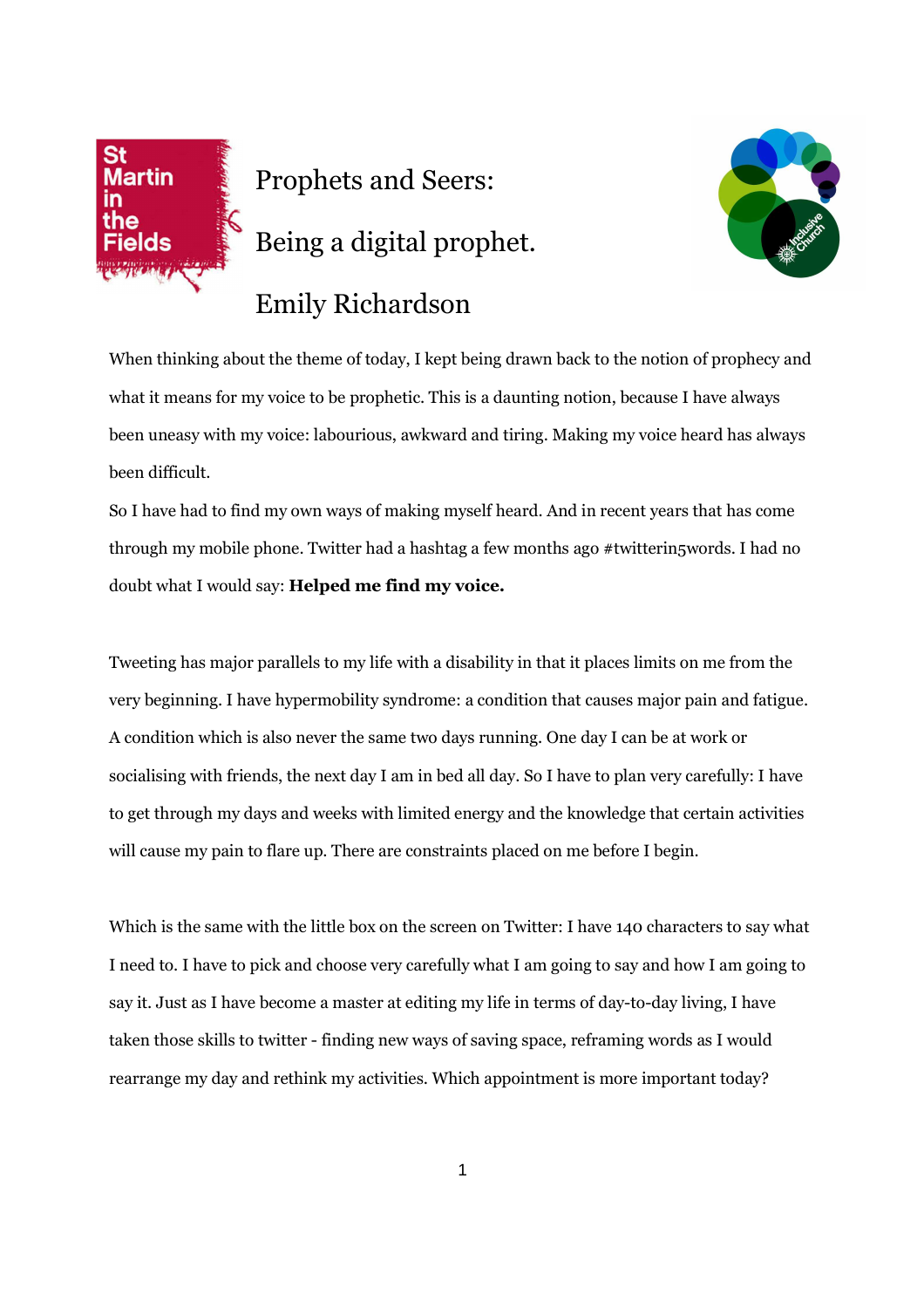

Prophets and Seers: Being a digital prophet. Emily Richardson



When thinking about the theme of today, I kept being drawn back to the notion of prophecy and what it means for my voice to be prophetic. This is a daunting notion, because I have always been uneasy with my voice: labourious, awkward and tiring. Making my voice heard has always been difficult.

So I have had to find my own ways of making myself heard. And in recent years that has come through my mobile phone. Twitter had a hashtag a few months ago #twitterin5words. I had no doubt what I would say: **Helped me find my voice.**

Tweeting has major parallels to my life with a disability in that it places limits on me from the very beginning. I have hypermobility syndrome: a condition that causes major pain and fatigue. A condition which is also never the same two days running. One day I can be at work or socialising with friends, the next day I am in bed all day. So I have to plan very carefully: I have to get through my days and weeks with limited energy and the knowledge that certain activities will cause my pain to flare up. There are constraints placed on me before I begin.

Which is the same with the little box on the screen on Twitter: I have 140 characters to say what I need to. I have to pick and choose very carefully what I am going to say and how I am going to say it. Just as I have become a master at editing my life in terms of day-to-day living, I have taken those skills to twitter - finding new ways of saving space, reframing words as I would rearrange my day and rethink my activities. Which appointment is more important today?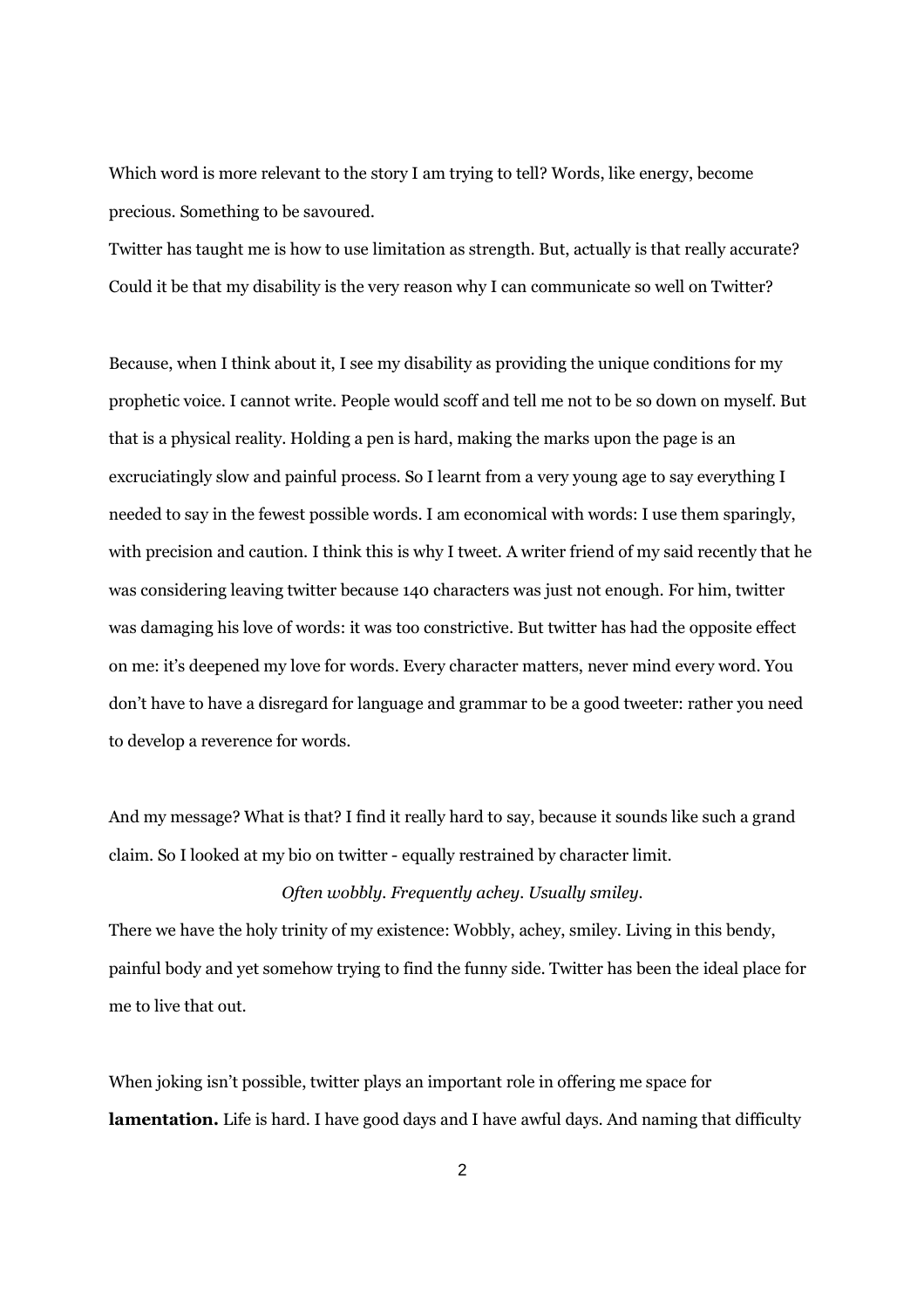Which word is more relevant to the story I am trying to tell? Words, like energy, become precious. Something to be savoured.

Twitter has taught me is how to use limitation as strength. But, actually is that really accurate? Could it be that my disability is the very reason why I can communicate so well on Twitter?

Because, when I think about it, I see my disability as providing the unique conditions for my prophetic voice. I cannot write. People would scoff and tell me not to be so down on myself. But that is a physical reality. Holding a pen is hard, making the marks upon the page is an excruciatingly slow and painful process. So I learnt from a very young age to say everything I needed to say in the fewest possible words. I am economical with words: I use them sparingly, with precision and caution. I think this is why I tweet. A writer friend of my said recently that he was considering leaving twitter because 140 characters was just not enough. For him, twitter was damaging his love of words: it was too constrictive. But twitter has had the opposite effect on me: it's deepened my love for words. Every character matters, never mind every word. You don't have to have a disregard for language and grammar to be a good tweeter: rather you need to develop a reverence for words.

And my message? What is that? I find it really hard to say, because it sounds like such a grand claim. So I looked at my bio on twitter - equally restrained by character limit.

## *Often wobbly. Frequently achey. Usually smiley.*

There we have the holy trinity of my existence: Wobbly, achey, smiley. Living in this bendy, painful body and yet somehow trying to find the funny side. Twitter has been the ideal place for me to live that out.

When joking isn't possible, twitter plays an important role in offering me space for **lamentation.** Life is hard. I have good days and I have awful days. And naming that difficulty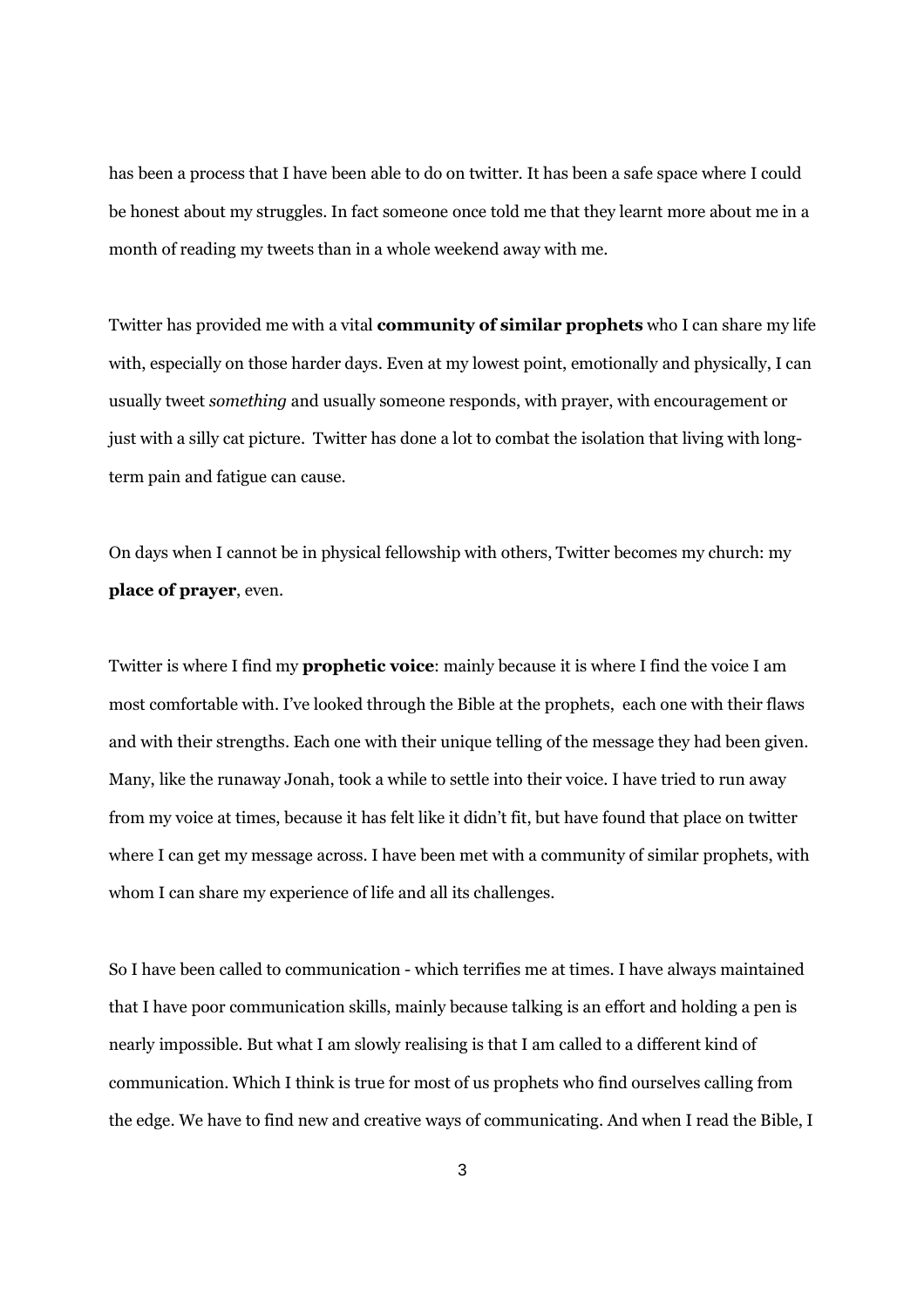has been a process that I have been able to do on twitter. It has been a safe space where I could be honest about my struggles. In fact someone once told me that they learnt more about me in a month of reading my tweets than in a whole weekend away with me.

Twitter has provided me with a vital **community of similar prophets** who I can share my life with, especially on those harder days. Even at my lowest point, emotionally and physically, I can usually tweet *something* and usually someone responds, with prayer, with encouragement or just with a silly cat picture. Twitter has done a lot to combat the isolation that living with longterm pain and fatigue can cause.

On days when I cannot be in physical fellowship with others, Twitter becomes my church: my **place of prayer**, even.

Twitter is where I find my **prophetic voice**: mainly because it is where I find the voice I am most comfortable with. I've looked through the Bible at the prophets, each one with their flaws and with their strengths. Each one with their unique telling of the message they had been given. Many, like the runaway Jonah, took a while to settle into their voice. I have tried to run away from my voice at times, because it has felt like it didn't fit, but have found that place on twitter where I can get my message across. I have been met with a community of similar prophets, with whom I can share my experience of life and all its challenges.

So I have been called to communication - which terrifies me at times. I have always maintained that I have poor communication skills, mainly because talking is an effort and holding a pen is nearly impossible. But what I am slowly realising is that I am called to a different kind of communication. Which I think is true for most of us prophets who find ourselves calling from the edge. We have to find new and creative ways of communicating. And when I read the Bible, I